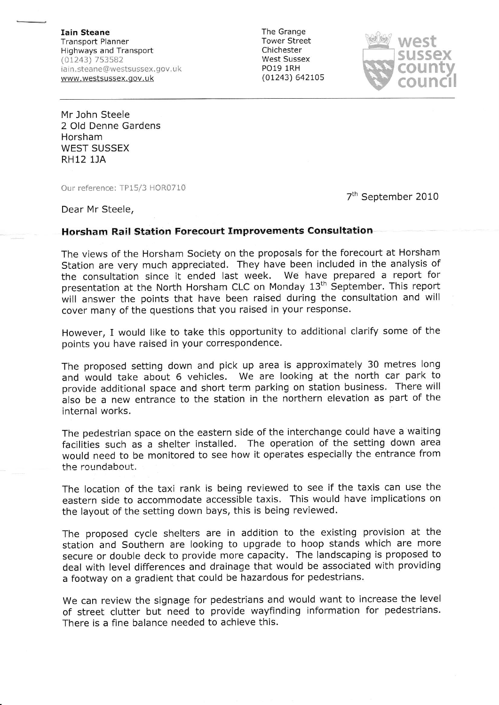Iain Steane Transport Planner Highways and Transport (01243) 7s3582 iain.steane@westsussex.gov.uk www.westsussex.gov.uk

The Grange Tower Street Chichester West Sussex PO19 lRH (0L243) 642L05



Mr John Steele 2 Old Denne Gardens **Horsham** WEST SUSSEX RH12 lJA

Our reference: IP15/3 HOR0710

7<sup>th</sup> September 2010

Dear Mr Steele,

## Horsham Rail Station Forecourt Improvements Consultation

The views of the Horsham Society on the proposals for the forecourt at Horsham Station are very much appreciated. They have been included in the analysis of the consultation since it ended last week. We have prepared a report for presentation at the North Horsham CLC on Monday 13<sup>th</sup> September. This report will answer the points that have been raised during the consultation and will cover many of the questions that you raised in your response.

However, I would like to take this opportunity to additional clarify some of the points you have raised in your correspondence.

The proposed setting down and pick up area is approximately 30 metres long and would take about 6 vehicles. We are looking at the north car park to provide additional space and short term parking on station business. There will also be a new entrance to the station in the northern elevation as part of the internal works.

The pedestrian space on the eastern side of the interchange could have a waiting facilities such as a shelter installed. The operation of the setting down area would need to be monitored to see how it operates especially the entrance from the roundabeut.

The location of the taxi rank is being reviewed to see if the taxis can use the eastern side to accommodate accessible taxis. This would have implications on the layout of the setting down bays, this is being reviewed.

The proposed cycle shelters are in addition to the existing provision at the station and Southern are looking to upgrade to hoop stands which are more secure or double deck to provide more capacity. The landscaping is proposed to deal with level differences and drainage that would be associated with providing a footway on a gradient that could be hazardous for pedestrians.

we can review the signage for pedestrians and would want to increase the level of street clutter but need to provide wayfinding information for pedestrians. There is a fine balance needed to achieve this.